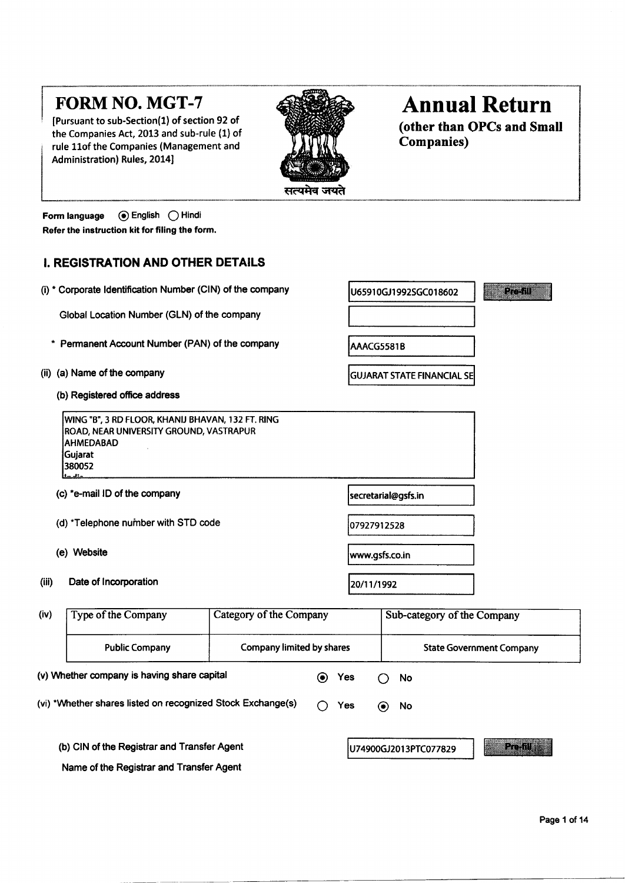# FORM NO. MGT-7

[Pursuant to sub-Section(1) of section 92 of the Companies Act, 2013 and sub-rule (1) of rule 11of the Companies (Management and Administration) Rules, 2014]



# Annual Return

(other than OPCS and Small Companies)

Form language (e) English (c) Hindi Refer the instruction kit for filing the form.

### I. REGISTRATION AND OTHER DETAILS

|  | (i) * Corporate Identification Number (CIN) of the company |  |  |
|--|------------------------------------------------------------|--|--|
|  |                                                            |  |  |

Global Location Number (GLN) of the company

- \* Permanent Account Number (PAN) of the company
- (ii) (a) Name of the company
	- (b) Registered office address

WING "B", 3 RD FLOOR, KHANIJ BHAVAN, 132 FT. RING ROAD, NEAR UNIVERSITY GROUND, VASTRAPUR AHMEDABAD Gujarat 380052 مقاسسا

- (c) \*e-mail lD of the company
- (d)  $*$ Telephone number with STD code  $|07927912528$
- 
- (iii) Date of Incorporation  $20/11/1992$

U65910GJ1992SGC018602

Pre-fill

AAACG558I B

GUJARAT STATE FINANCIAL SE

secretarial@gsfs.in

(e) Website www.gsfs.co.in

u7 4900GJ20 1 3PT CO7 7 829

| (iv) | Type of the Company                                         | Category of the Company   |                                 |     | Sub-category of the Company                     |  |
|------|-------------------------------------------------------------|---------------------------|---------------------------------|-----|-------------------------------------------------|--|
|      | <b>Public Company</b>                                       | Company limited by shares |                                 |     | <b>State Government Company</b>                 |  |
|      | (v) Whether company is having share capital                 |                           | Yes<br>$\left( \bullet \right)$ |     | No                                              |  |
|      | (vi) *Whether shares listed on recognized Stock Exchange(s) |                           | Yes                             | (●) | No                                              |  |
|      | (b) CIN of the Registrar and Transfer Agent                 |                           |                                 |     | <b>Pre-fill and in</b><br>U74900GJ2013PTC077829 |  |

Name of the Registrar and Transfer Agent

 $\mathbf{L}$ i $\mathbf{L}$ i $\mathbf{L}$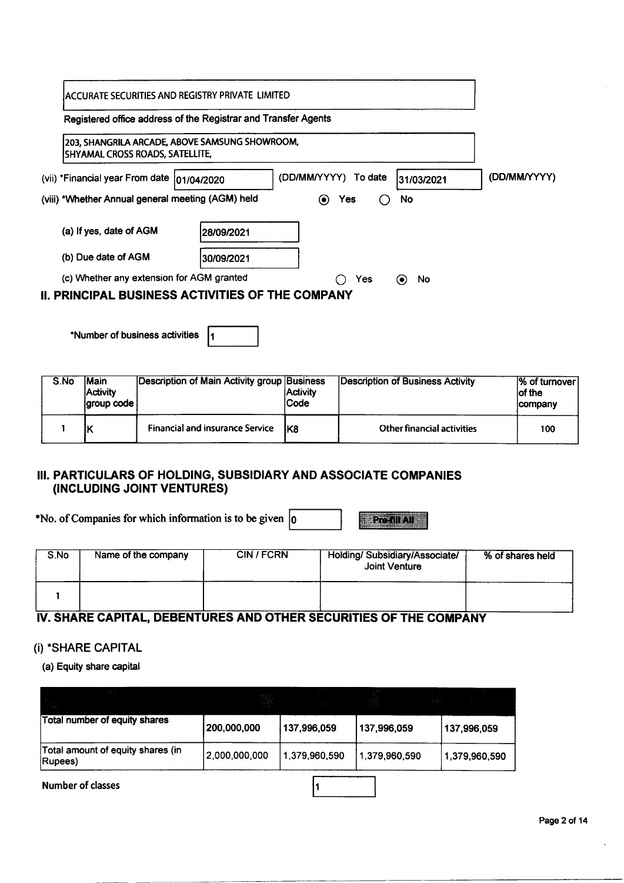| Registered office address of the Registrar and Transfer Agents                     |            |                                 |                                       |              |
|------------------------------------------------------------------------------------|------------|---------------------------------|---------------------------------------|--------------|
| 203, SHANGRILA ARCADE, ABOVE SAMSUNG SHOWROOM,<br>ISHYAMAL CROSS ROADS, SATELLITE, |            |                                 |                                       |              |
| (vii) *Financial year From date   01/04/2020                                       |            | (DD/MM/YYYY) To date            | 31/03/2021                            | (DD/MM/YYYY) |
| (viii) *Whether Annual general meeting (AGM) held                                  |            | Yes<br>$\left( \bullet \right)$ | No                                    |              |
| (a) If yes, date of AGM                                                            | 28/09/2021 |                                 |                                       |              |
| (b) Due date of AGM                                                                | 30/09/2021 |                                 |                                       |              |
| (c) Whether any extension for AGM granted                                          |            | Yes                             | <b>No</b><br>$\left( \bullet \right)$ |              |

\*Number of business activities  $\vert$ 1

| S.No | <b>IMain</b><br><b>Activity</b><br>laroup code | Description of Main Activity group Business | <b>Activity</b><br><b>Code</b> | Description of Business Activity  | % of turnover<br>lof the<br>company |
|------|------------------------------------------------|---------------------------------------------|--------------------------------|-----------------------------------|-------------------------------------|
|      |                                                | <b>Financial and insurance Service</b>      | IK8                            | <b>Other financial activities</b> | 100                                 |

#### III. PARTICULARS OF HOLDING, SUBSIDIARY AND ASSOCIATE COMPANIES (INCLUDING JOINT VENTURES)

\*No. of Companies for which information is to be given  $|_0$ 

**Pre-fill All** 

| S.No | Name of the company | CIN / FCRN | Holding/Subsidiary/Associate/<br>Joint Venture | % of shares held |
|------|---------------------|------------|------------------------------------------------|------------------|
|      |                     |            |                                                |                  |

# IV. SHARE CAPITAL, DEBENTURES AND OTHER SECURITIES OF THE COMPANY

### (i) \*SHARE CAPITAL

(a) Equity share capital

| CDS 20<br>Albert L                           |               | <b>TIME</b>   |               | $\omega\in\{\tilde{\psi}\}_{\omega\in\mathbb{Z}}$ |
|----------------------------------------------|---------------|---------------|---------------|---------------------------------------------------|
| Total number of equity shares                | 200,000,000   | 137,996,059   | 137,996,059   | 137,996,059                                       |
| Total amount of equity shares (in<br>Rupees) | 2,000,000,000 | 1,379,960,590 | 1,379,960,590 | 1,379,960,590                                     |
|                                              |               |               |               |                                                   |

Number of classes and the set of the set of the set of the set of the set of the set of the set of the set of the set of the set of the set of the set of the set of the set of the set of the set of the set of the set of th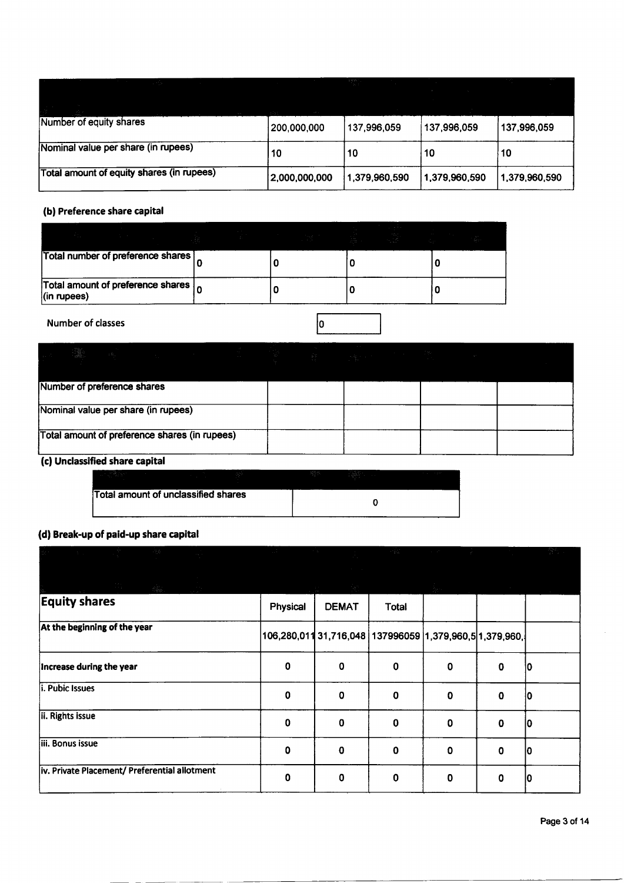| <u> Album ann an Stàitean an Dùbhan ann an Dùbhan ann an Dùbhan ann an Dùbhan ann an Dùbhan ann an Dùbhan ann an Dùbhan ann an Dùbhan ann an Dùbhan ann ann an Dùbhan ann an Dùbhan ann an Dùbhan ann ann an Dùbhan ann an Dùbha</u> |               | anggalan.<br>Tanggalan |               | report of     |
|--------------------------------------------------------------------------------------------------------------------------------------------------------------------------------------------------------------------------------------|---------------|------------------------|---------------|---------------|
|                                                                                                                                                                                                                                      |               |                        |               |               |
| Number of equity shares                                                                                                                                                                                                              | 200,000,000   | 137,996,059            | 137,996,059   | 137,996,059   |
| Nominal value per share (in rupees)                                                                                                                                                                                                  | 10            | 10                     | 10            | 10            |
| Total amount of equity shares (in rupees)                                                                                                                                                                                            | 2,000,000,000 | 1,379,960,590          | 1,379,960,590 | 1,379,960,590 |

#### (b) Preference share capital

| <u> Andreas Andreas Andreas Andreas Andreas Andreas Andreas Andreas Andreas Andreas Andreas Andreas Andreas Andreas Andreas Andreas Andreas Andreas Andreas Andreas Andreas Andreas Andreas Andreas Andreas Andreas Andreas Andr</u> |  | <b>The Second Second Second</b> |  |
|--------------------------------------------------------------------------------------------------------------------------------------------------------------------------------------------------------------------------------------|--|---------------------------------|--|
| Total number of preference shares                                                                                                                                                                                                    |  |                                 |  |
| Total amount of preference shares $\vert_{\Omega}$<br>$ $ (in rupees)                                                                                                                                                                |  |                                 |  |

Number of classes

 $\boxed{\circ}$ 

|  |                                |                                               | 이 사용 등 100ml 이 사용 등 100ml 이 사용 등 100ml 이 사용 등 100ml 이 사용 등 100ml 이 사용 등 100ml 이 사용 등 100ml 이 사용 등 100ml 이 사용 등<br>이 사용 등 100ml 이 사용 등 100ml 이 사용 등 100ml 이 사용 등 100ml 이 사용 등 100ml 이 사용 등 100ml 이 사용 등 100ml 이 사용 등 100ml 이 사용 등 |  |  |  |  |
|--|--------------------------------|-----------------------------------------------|----------------------------------------------------------------------------------------------------------------------------------------------------------------------------------------------------------------------------------|--|--|--|--|
|  |                                |                                               |                                                                                                                                                                                                                                  |  |  |  |  |
|  | Number of preference shares    |                                               |                                                                                                                                                                                                                                  |  |  |  |  |
|  |                                | Nominal value per share (in rupees)           |                                                                                                                                                                                                                                  |  |  |  |  |
|  |                                | Total amount of preference shares (in rupees) |                                                                                                                                                                                                                                  |  |  |  |  |
|  | (c) Unclassified share capital |                                               |                                                                                                                                                                                                                                  |  |  |  |  |

|                                     |  | 929 |  |
|-------------------------------------|--|-----|--|
| Total amount of unclassified shares |  |     |  |

## (d) Break-up of paid-up share capital

| 한 동안 이 사람이 아래 보기 위해 보기 위해 보기 위해 보기 위해 보기 위해 보기 위해 보기 위해 보기 위해 보기 위해 보기 위해 보기 위해 보기 위해 보기<br>1988년 - 대한민국의 대한민국의 대한민국의 대한민국의 대한민국의 대한민국의 대한민국의 대한민국의 대한민국의 대한민국의 대한민국의 대한민국의 대한민국의 대한민국의 대한민국의 대한민국의 대한민국의 |          |                                                               |              |             |             | - 꽃성 도시 |
|-----------------------------------------------------------------------------------------------------------------------------------------------------------------------------------------------------------|----------|---------------------------------------------------------------|--------------|-------------|-------------|---------|
|                                                                                                                                                                                                           |          |                                                               |              |             |             |         |
|                                                                                                                                                                                                           |          |                                                               |              |             |             |         |
| <b>Equity shares</b>                                                                                                                                                                                      | Physical | <b>DEMAT</b>                                                  | <b>Total</b> |             |             |         |
| At the beginning of the year                                                                                                                                                                              |          | 106,280,011 31,716,048   137996059   1,379,960,5   1,379,960, |              |             |             |         |
| Increase during the year                                                                                                                                                                                  | 0        | $\mathbf 0$                                                   | 0            | $\mathbf 0$ | $\mathbf 0$ |         |
| i. Pubic Issues                                                                                                                                                                                           | 0        | 0                                                             | 0            | 0           | 0           | IO      |
| ii. Rights issue                                                                                                                                                                                          | 0        | 0                                                             | 0            | $\mathbf 0$ | 0           | 10      |
| iii. Bonus issue                                                                                                                                                                                          | 0        | 0                                                             | 0            | $\mathbf 0$ | $\mathbf 0$ | 10      |
| iv. Private Placement/ Preferential allotment                                                                                                                                                             | 0        | 0                                                             | 0            | $\mathbf 0$ | $\mathbf 0$ | IO      |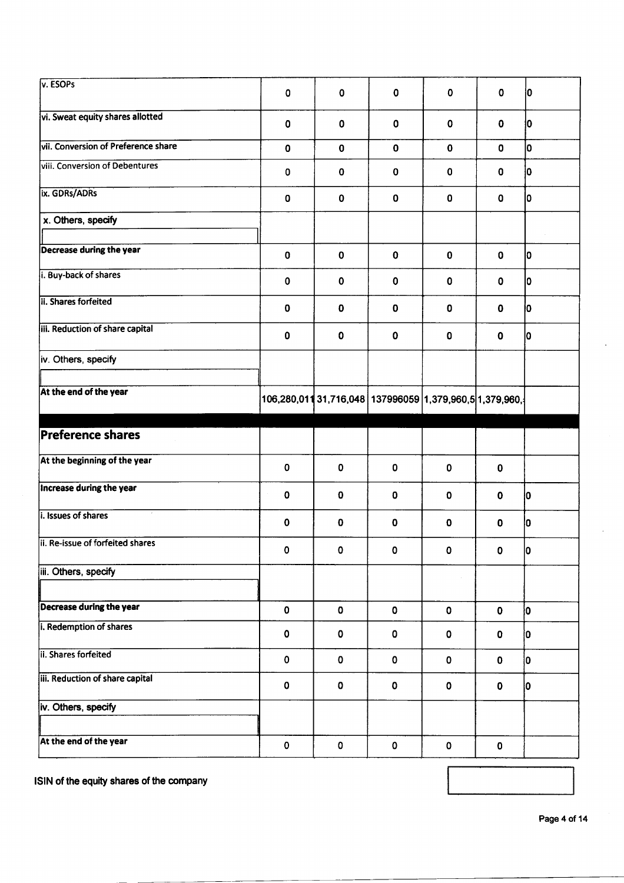| v. ESOPs                            |             |             |                                                                |             |             |    |
|-------------------------------------|-------------|-------------|----------------------------------------------------------------|-------------|-------------|----|
|                                     | $\pmb{0}$   | $\mathbf 0$ | $\mathbf 0$                                                    | $\mathbf 0$ | $\mathbf 0$ | 10 |
| vi. Sweat equity shares allotted    | 0           | $\mathbf 0$ | $\pmb{0}$                                                      | $\mathbf 0$ | $\mathbf 0$ | 10 |
| vii. Conversion of Preference share | $\pmb{0}$   | $\mathbf 0$ | $\mathbf 0$                                                    | $\mathbf 0$ | $\mathbf 0$ | 10 |
| viii. Conversion of Debentures      | 0           | $\mathbf 0$ | 0                                                              | $\pmb{0}$   | $\mathbf 0$ | 10 |
| ix. GDRs/ADRs                       | 0           | $\mathbf 0$ | $\mathbf 0$                                                    | $\pmb{0}$   | $\pmb{0}$   | 10 |
| x. Others, specify                  |             |             |                                                                |             |             |    |
| <b>Decrease during the year</b>     | $\mathbf 0$ | $\mathbf 0$ | $\mathbf 0$                                                    | $\mathbf 0$ | $\mathbf 0$ | 10 |
| i. Buy-back of shares               | 0           | $\mathbf 0$ | 0                                                              | $\mathbf 0$ | $\mathbf 0$ | 10 |
| ii. Shares forfeited                | 0           | $\pmb{0}$   | $\pmb{0}$                                                      | 0           | $\mathbf 0$ | İ0 |
| iii. Reduction of share capital     | $\pmb{0}$   | $\mathbf 0$ | $\mathbf 0$                                                    | $\pmb{0}$   | $\pmb{0}$   | 10 |
| iv. Others, specify                 |             |             |                                                                |             |             |    |
| At the end of the year              |             |             | 106,280,011  31,716,048   137996059   1,379,960,5   1,379,960, |             |             |    |
|                                     |             |             |                                                                |             |             |    |
| <b>Preference shares</b>            |             |             |                                                                |             |             |    |
| At the beginning of the year        | $\mathbf 0$ | $\pmb{0}$   | 0                                                              | $\mathbf 0$ | $\pmb{0}$   |    |
| Increase during the year            | $\mathbf 0$ | $\mathbf 0$ | 0                                                              | $\mathbf 0$ | $\mathbf 0$ | 10 |
| i. Issues of shares                 | $\mathbf 0$ | 0           | $\mathbf 0$                                                    | $\bf{0}$    | $\pmb{0}$   | 10 |
| ii. Re-issue of forfeited shares    | $\mathbf 0$ | $\pmb{0}$   | $\mathbf 0$                                                    | $\mathbf 0$ | $\pmb{0}$   | 10 |
| iii. Others, specify                |             |             |                                                                |             |             |    |
| <b>Decrease during the year</b>     | $\pmb{0}$   | $\pmb{0}$   | $\mathbf 0$                                                    | $\mathbf 0$ | $\pmb{0}$   | lо |
| i. Redemption of shares             | $\mathbf 0$ | 0           | 0                                                              | 0           | $\pmb{0}$   | 0  |
| ii. Shares forfeited                | $\pmb{0}$   | $\pmb{0}$   | $\pmb{0}$                                                      | $\pmb{0}$   | 0           | 0  |
| iii. Reduction of share capital     | $\pmb{0}$   | 0           | $\mathbf 0$                                                    | $\bf{0}$    | $\pmb{0}$   | 0  |
| iv. Others, specify                 |             |             |                                                                |             |             |    |

lSlN of the equity shares of the company

Page 4 of 14

 $\ddot{\phantom{a}}$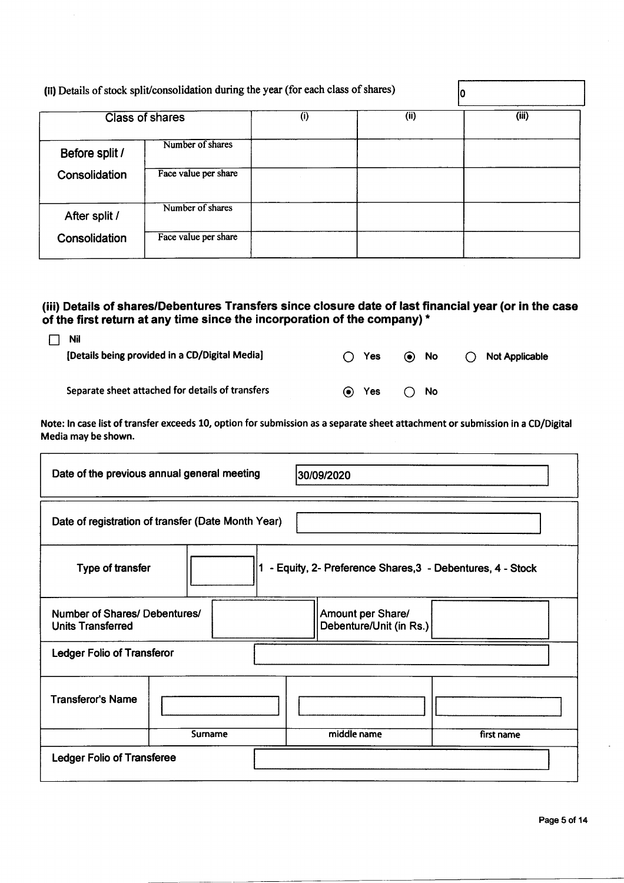|                | (ii) Details of stock split/consolidation during the year (for each class of shares) |     |     |       |
|----------------|--------------------------------------------------------------------------------------|-----|-----|-------|
|                | <b>Class of shares</b>                                                               | (i) | (i) | (iii) |
| Before split / | Number of shares                                                                     |     |     |       |
| Consolidation  | Face value per share                                                                 |     |     |       |
| After split /  | Number of shares                                                                     |     |     |       |
| Consolidation  | Face value per share                                                                 |     |     |       |

#### (iii) Details of shares/Debentures Transfers since closure date of last financial year (or in the case of the first return at any time since the incorporation of the company)  $^\star$

| <b>Nil</b><br>[Details being provided in a CD/Digital Media] | $\bigcap$ Yes | $\odot$ No   | <b>Not Applicable</b><br>$\bigcap$ |
|--------------------------------------------------------------|---------------|--------------|------------------------------------|
| Separate sheet attached for details of transfers             | $\odot$ Yes   | $\bigcap$ No |                                    |

Note: ln case list of transfer exceeds 10, option for submission as a separate sheet attachment or submission in a CD/Digital Media may be shown.

|                                                    | Date of the previous annual general meeting                                   | 30/09/2020                |  |  |  |  |
|----------------------------------------------------|-------------------------------------------------------------------------------|---------------------------|--|--|--|--|
| Date of registration of transfer (Date Month Year) |                                                                               |                           |  |  |  |  |
|                                                    | - Equity, 2- Preference Shares, 3 - Debentures, 4 - Stock<br>Type of transfer |                           |  |  |  |  |
| <b>Units Transferred</b>                           | Number of Shares/ Debentures/<br>Amount per Share/<br>Debenture/Unit (in Rs.) |                           |  |  |  |  |
| <b>Ledger Folio of Transferor</b>                  |                                                                               |                           |  |  |  |  |
| <b>Transferor's Name</b>                           |                                                                               |                           |  |  |  |  |
|                                                    | Surname                                                                       | middle name<br>first name |  |  |  |  |
|                                                    | <b>Ledger Folio of Transferee</b>                                             |                           |  |  |  |  |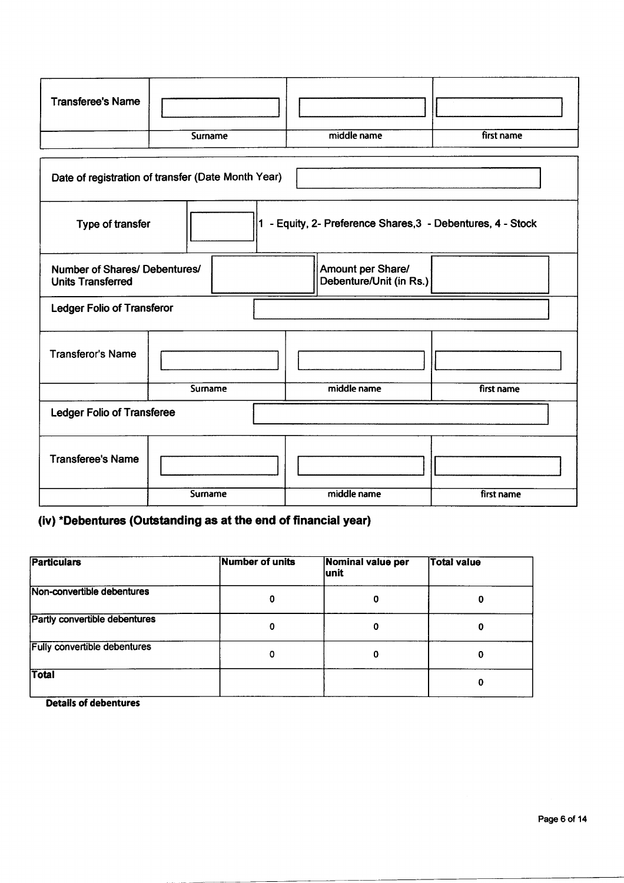| <b>Transferee's Name</b> |         |             |            |
|--------------------------|---------|-------------|------------|
|                          | Surname | middle name | first name |

| Date of registration of transfer (Date Month Year)                                                        |         |  |                                                           |            |  |  |
|-----------------------------------------------------------------------------------------------------------|---------|--|-----------------------------------------------------------|------------|--|--|
| Type of transfer                                                                                          |         |  | - Equity, 2- Preference Shares, 3 - Debentures, 4 - Stock |            |  |  |
| Amount per Share/<br>Number of Shares/ Debentures/<br>Debenture/Unit (in Rs.)<br><b>Units Transferred</b> |         |  |                                                           |            |  |  |
| <b>Ledger Folio of Transferor</b>                                                                         |         |  |                                                           |            |  |  |
| <b>Transferor's Name</b>                                                                                  |         |  |                                                           |            |  |  |
|                                                                                                           | Surname |  | middle name                                               | first name |  |  |
| <b>Ledger Folio of Transferee</b>                                                                         |         |  |                                                           |            |  |  |
| <b>Transferee's Name</b>                                                                                  |         |  |                                                           |            |  |  |
|                                                                                                           | Surname |  | middle name                                               | first name |  |  |

# (iv) \*Debentures (Outstanding as at the end of financial year)

| <b>Particulars</b>                  | Number of units | Nominal value per<br>unit | <b>Total value</b> |
|-------------------------------------|-----------------|---------------------------|--------------------|
| Non-convertible debentures          | 0               |                           |                    |
| Partly convertible debentures       |                 |                           |                    |
| <b>Fully convertible debentures</b> | O               |                           | o                  |
| Total<br>$\sim$ $\sim$ $\sim$<br>.  |                 |                           |                    |

Details of debentures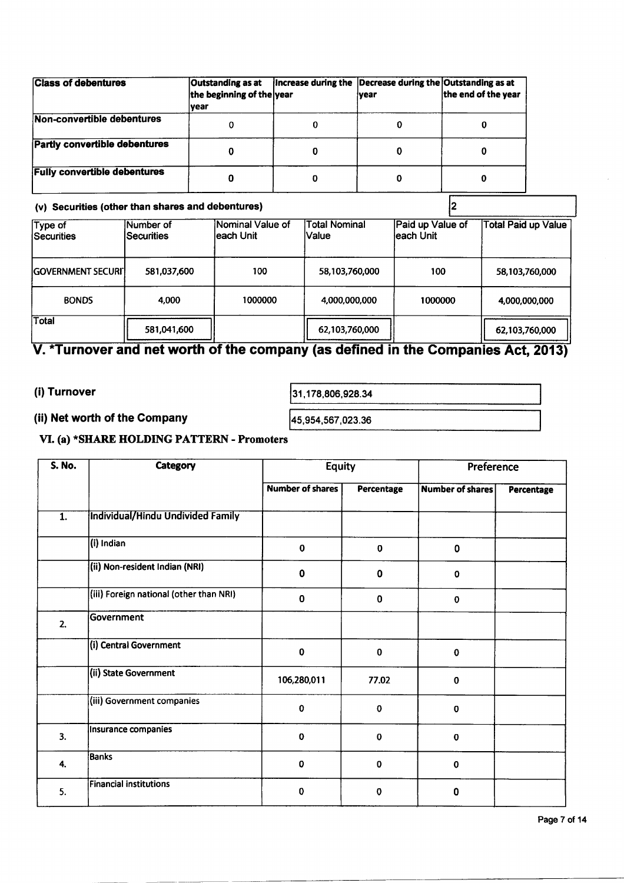| <b>Class of debentures</b>           | Outstanding as at<br>the beginning of the year<br>Ivear | Increase during the Decrease during the Outstanding as at<br><b>Ivear</b> | the end of the year |
|--------------------------------------|---------------------------------------------------------|---------------------------------------------------------------------------|---------------------|
| Non-convertible debentures           |                                                         |                                                                           |                     |
| <b>Partly convertible debentures</b> |                                                         |                                                                           |                     |
| <b>Fully convertible debentures</b>  |                                                         |                                                                           |                     |

#### (v) Securities (other than shares and debentures)

| 177 YOYUNGOO (YGIYI GIMI) YIMIYY UNU UYYYIGHYY |                                |                                |                                |                                |                            |  |  |
|------------------------------------------------|--------------------------------|--------------------------------|--------------------------------|--------------------------------|----------------------------|--|--|
| Type of<br>Securities                          | Number of<br><b>Securities</b> | Nominal Value of<br>leach Unit | <b>Total Nominal</b><br>lValue | Paid up Value of<br>leach Unit | <b>Total Paid up Value</b> |  |  |
| <b>GOVERNMENT SECURIL</b>                      | 581,037,600                    | 100                            | 58,103,760,000                 | 100                            | 58,103,760,000             |  |  |
| <b>BONDS</b>                                   | 4.000                          | 1000000                        | 4,000,000,000                  | 1000000                        | 4,000,000,000              |  |  |
| Total                                          | 581,041,600                    |                                | 62,103,760,000                 |                                | 62,103,760,000             |  |  |

### r and net worth of the company (as defined in

# (i) Turnover

31,178,806,928.34

 $\sqrt{2}$ 

## (ii) Net worth of the Company

45,954,567,023.36

VI. (a) \*SHARE HOLDING PATTERN - Promoters

| <b>S. No.</b>    | Category                                | <b>Equity</b>           |             | <b>Preference</b> |                   |
|------------------|-----------------------------------------|-------------------------|-------------|-------------------|-------------------|
|                  |                                         | <b>Number of shares</b> | Percentage  | Number of shares  | <b>Percentage</b> |
| $\overline{1}$ . | Individual/Hindu Undivided Family       |                         |             |                   |                   |
|                  | (i) Indian                              | $\pmb{0}$               | $\mathbf 0$ | $\mathbf 0$       |                   |
|                  | (ii) Non-resident Indian (NRI)          | $\mathbf 0$             | $\mathbf 0$ | $\mathbf 0$       |                   |
|                  | (iii) Foreign national (other than NRI) | $\pmb{0}$               | $\mathbf 0$ | $\mathbf 0$       |                   |
| 2.               | Government                              |                         |             |                   |                   |
|                  | (i) Central Government                  | 0                       | $\bf{0}$    | $\pmb{0}$         |                   |
|                  | (ii) State Government                   | 106,280,011             | 77.02       | $\mathbf 0$       |                   |
|                  | (iii) Government companies              | $\bf{0}$                | $\mathbf 0$ | $\mathbf 0$       |                   |
| 3.               | Insurance companies                     | 0                       | $\mathbf 0$ | $\bf{0}$          |                   |
| 4.               | Banks                                   | 0                       | $\pmb{0}$   | 0                 |                   |
| 5.               | <b>Financial institutions</b>           | 0                       | ${\bf 0}$   | 0                 |                   |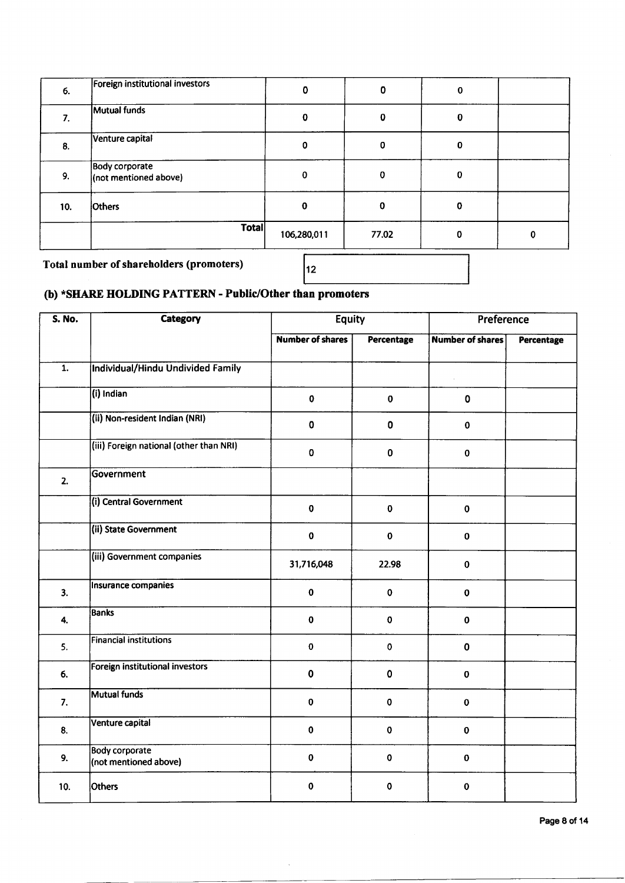| 6.  | Foreign institutional investors         | 0           | 0     | 0 |  |
|-----|-----------------------------------------|-------------|-------|---|--|
| 7.  | Mutual funds                            | 0           | 0     | 0 |  |
| 8.  | Venture capital                         | 0           | 0     | 0 |  |
| 9.  | Body corporate<br>(not mentioned above) | 0           | 0     | 0 |  |
| 10. | Others                                  | 0           | 0     | 0 |  |
|     | <b>Total</b>                            | 106,280,011 | 77.02 | 0 |  |

Total number of shareholders (promoters)

 $\vert$ 12

# (b) \*SHARE HOLDING PATTERN - Public/Other than promoters

| <b>S. No.</b>    | Category                                       | <b>Equity</b>           |             | Preference              |            |
|------------------|------------------------------------------------|-------------------------|-------------|-------------------------|------------|
|                  |                                                | <b>Number of shares</b> | Percentage  | <b>Number of shares</b> | Percentage |
| $\overline{1}$ . | <b>Individual/Hindu Undivided Family</b>       |                         |             | $\bar{z}$               |            |
|                  | (i) Indian                                     | $\mathbf 0$             | $\pmb{0}$   | $\mathbf 0$             |            |
|                  | (ii) Non-resident Indian (NRI)                 | $\mathbf 0$             | 0           | $\pmb{0}$               |            |
|                  | (iii) Foreign national (other than NRI)        | $\mathbf 0$             | $\mathbf 0$ | $\mathbf 0$             |            |
| 2.               | Government                                     |                         |             |                         |            |
|                  | (i) Central Government                         | $\mathbf 0$             | $\mathbf 0$ | $\pmb{0}$               |            |
|                  | (ii) State Government                          | $\pmb{0}$               | $\bf{0}$    | $\pmb{0}$               |            |
|                  | (iii) Government companies                     | 31,716,048              | 22.98       | $\pmb{0}$               |            |
| 3.               | Insurance companies                            | $\mathbf 0$             | $\mathbf 0$ | $\mathbf 0$             |            |
| 4.               | Banks                                          | $\mathbf 0$             | $\mathbf 0$ | $\pmb{0}$               |            |
| 5.               | <b>Financial institutions</b>                  | 0                       | $\pmb{0}$   | $\pmb{0}$               |            |
| 6.               | Foreign institutional investors                | $\mathbf 0$             | $\pmb{0}$   | $\mathbf 0$             |            |
| 7.               | <b>Mutual funds</b>                            | $\pmb{0}$               | $\mathbf 0$ | $\mathbf 0$             |            |
| 8.               | Venture capital                                | $\mathbf 0$             | $\pmb{0}$   | $\pmb{0}$               |            |
| 9.               | <b>Body corporate</b><br>(not mentioned above) | $\pmb{0}$               | $\pmb{0}$   | $\mathbf 0$             |            |
| 10.              | Others                                         | 0                       | $\mathbf 0$ | $\mathbf 0$             |            |

 $\bar{\lambda}$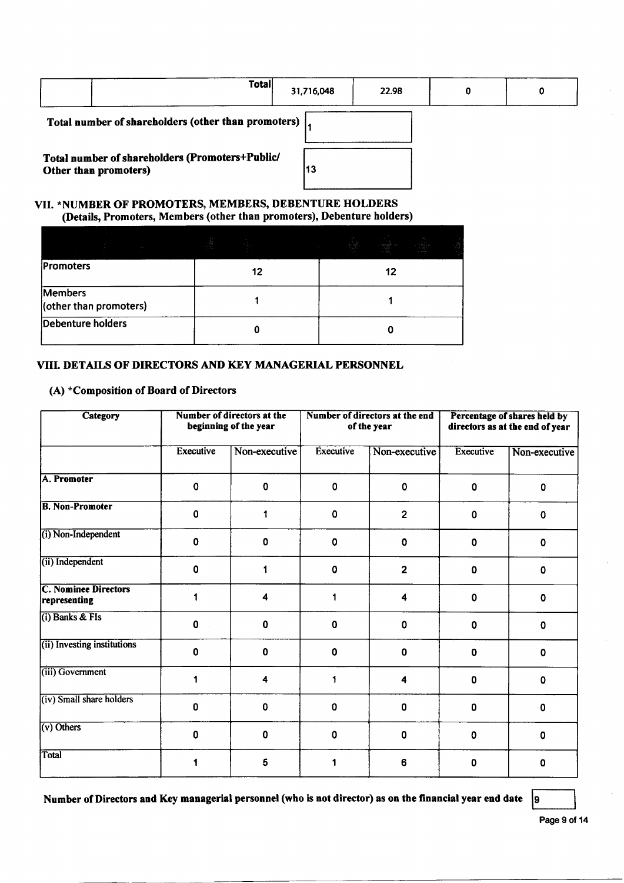|                                                     | <b>Total</b>                                    | 31,716,048 | 22.98 |  |  |  |  |
|-----------------------------------------------------|-------------------------------------------------|------------|-------|--|--|--|--|
| Total number of shareholders (other than promoters) |                                                 |            |       |  |  |  |  |
|                                                     | Total number of shareholders (Promoters+Public/ |            |       |  |  |  |  |

Other than promoters) (13

VII. \*NUMBER OF PROMOTERS, MEMBERS, DEBENTURE HOLDERS (Details, Promoters, Members (other than promoters), Debenture holders)

|                                   |    | đ  |
|-----------------------------------|----|----|
| Promoters                         | 12 | 12 |
| Members<br>(other than promoters) |    |    |
| <b>Debenture holders</b>          |    |    |

#### VIII. DETAILS OF DIRECTORS AND KEY MANAGERIAL PERSONNEL

#### (A) \*Composition of Board of Directors

| Category                             | Number of directors at the<br>beginning of the year |               |                  | Number of directors at the end<br>of the year | Percentage of shares held by<br>directors as at the end of year |               |
|--------------------------------------|-----------------------------------------------------|---------------|------------------|-----------------------------------------------|-----------------------------------------------------------------|---------------|
|                                      | Executive                                           | Non-executive | <b>Executive</b> | Non-executive                                 | Executive                                                       | Non-executive |
| A. Promoter                          | 0                                                   | 0             | $\mathbf 0$      | $\mathbf 0$                                   | 0                                                               | 0             |
| <b>B. Non-Promoter</b>               | 0                                                   | 1             | $\mathbf 0$      | $\overline{\mathbf{c}}$                       | 0                                                               | 0             |
| (i) Non-Independent                  | 0                                                   | 0             | $\Omega$         | $\pmb{0}$                                     | 0                                                               | 0             |
| (ii) Independent                     | 0                                                   |               | $\mathbf{0}$     | $\overline{2}$                                | 0                                                               | 0             |
| C. Nominee Directors<br>representing | 1                                                   | 4             | 1                | 4                                             | 0                                                               | 0             |
| $(i)$ Banks & FIs                    | $\mathbf 0$                                         | $\mathbf 0$   | $\mathbf 0$      | 0                                             | $\mathbf 0$                                                     | 0             |
| (ii) Investing institutions          | $\mathbf 0$                                         | $\mathbf 0$   | $\mathbf 0$      | $\mathbf 0$                                   | $\mathbf 0$                                                     | 0             |
| (iii) Government                     | 1                                                   | 4             | 1                | 4                                             | 0                                                               | 0             |
| (iv) Small share holders             | $\mathbf{0}$                                        | 0             | $\Omega$         | 0                                             | 0                                                               | 0             |
| $(v)$ Others                         | $\mathbf 0$                                         | 0             | $\mathbf 0$      | 0                                             | $\mathbf 0$                                                     | 0             |
| Total                                |                                                     | 5             |                  | 6                                             | 0                                                               | 0             |

Number of Directors and Key managerial personnel (who is not director) as on the financial year end date  $|9|$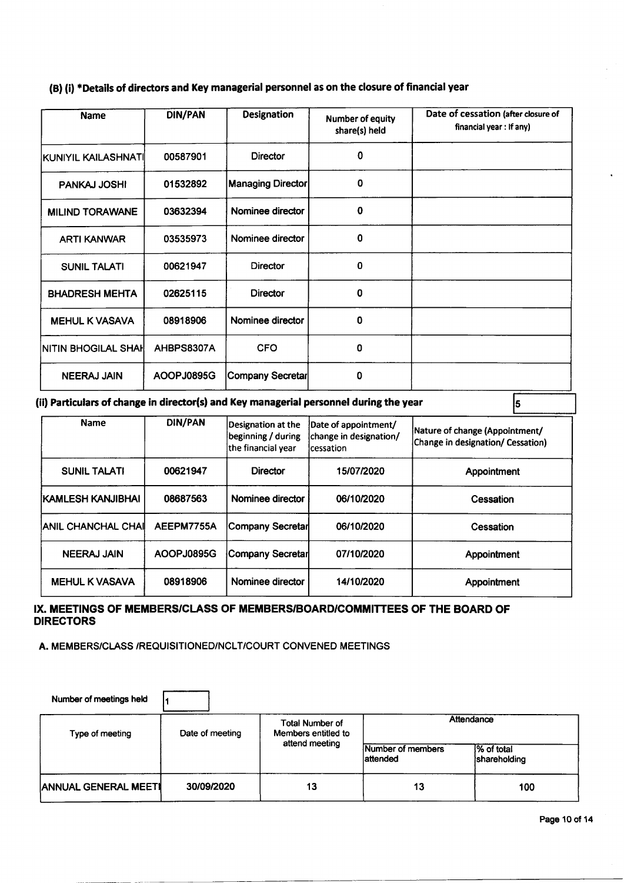|  | (B) (i) *Details of directors and Key managerial personnel as on the closure of financial year |
|--|------------------------------------------------------------------------------------------------|
|--|------------------------------------------------------------------------------------------------|

| <b>Name</b>            | DIN/PAN    | Designation              | Number of equity<br>share(s) held | Date of cessation (after closure of<br>financial year : If any) |
|------------------------|------------|--------------------------|-----------------------------------|-----------------------------------------------------------------|
| KUNIYIL KAILASHNATI    | 00587901   | <b>Director</b>          | 0                                 |                                                                 |
| <b>PANKAJ JOSHI</b>    | 01532892   | <b>Managing Director</b> | 0                                 |                                                                 |
| <b>MILIND TORAWANE</b> | 03632394   | Nominee director         | 0                                 |                                                                 |
| <b>ARTI KANWAR</b>     | 03535973   | Nominee director         | $\Omega$                          |                                                                 |
| <b>SUNIL TALATI</b>    | 00621947   | <b>Director</b>          | 0                                 |                                                                 |
| <b>BHADRESH MEHTA</b>  | 02625115   | <b>Director</b>          | O                                 |                                                                 |
| <b>MEHUL K VASAVA</b>  | 08918906   | Nominee director         | 0                                 |                                                                 |
| INITIN BHOGILAL SHAII  | AHBPS8307A | <b>CFO</b>               | 0                                 |                                                                 |
| <b>NEERAJ JAIN</b>     | AOOPJ0895G | Company Secretar         | 0                                 |                                                                 |

(ii) Particulars of change in director(s) and Key managerial personnel during the year

| <b>Name</b>               | DIN/PAN    | Designation at the<br>beginning / during<br>lthe financial vear | Date of appointment/<br>change in designation/<br>lcessation | Nature of change (Appointment/<br>Change in designation/ Cessation) |
|---------------------------|------------|-----------------------------------------------------------------|--------------------------------------------------------------|---------------------------------------------------------------------|
| <b>SUNIL TALATI</b>       | 00621947   | <b>Director</b>                                                 | 15/07/2020                                                   | Appointment                                                         |
| <b>IKAMLESH KANJIBHAI</b> | 08687563   | Nominee director                                                | 06/10/2020                                                   | Cessation                                                           |
| IANIL CHANCHAL CHAI       | AEEPM7755A | Company Secretar                                                | 06/10/2020                                                   | Cessation                                                           |
| <b>NEERAJ JAIN</b>        | AOOPJ0895G | Company Secretar                                                | 07/10/2020                                                   | Appointment                                                         |
| <b>MEHUL K VASAVA</b>     | 08918906   | Nominee director                                                | 14/10/2020                                                   | Appointment                                                         |

#### IX. MEETINGS OF MEMBERS'CLASS OF MEMBERS'BOARD'COMMITTEES OF THE BOARD OF **DIRECTORS**

A. MEMBERS/CLASS /REQUISITIONED/NCLT/COURT CONVENED MEETINGS

| Number of meetings held     |                 |                                               |                                |                            |
|-----------------------------|-----------------|-----------------------------------------------|--------------------------------|----------------------------|
| Type of meeting             | Date of meeting | <b>Total Number of</b><br>Members entitled to | Attendance                     |                            |
|                             |                 | attend meeting                                | Number of members<br>lattended | % of total<br>shareholding |
| <b>ANNUAL GENERAL MEETI</b> | 30/09/2020      | 13                                            | 13                             | 100                        |

 $\vert$ <sub>5</sub>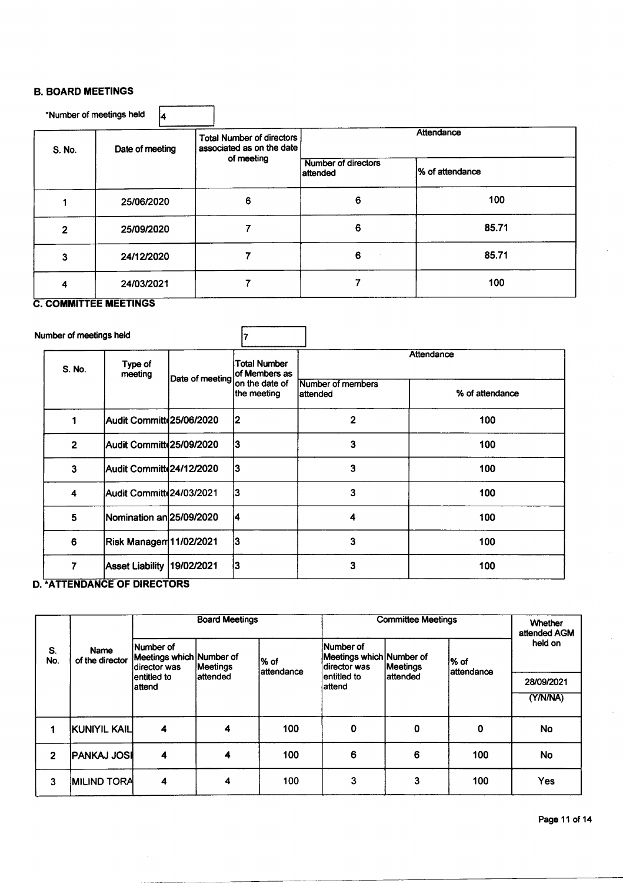#### B. BOARD MEETINGS

|        | *Number of meetings held |                                                               |                                         |                  |
|--------|--------------------------|---------------------------------------------------------------|-----------------------------------------|------------------|
| S. No. | Date of meeting          | <b>Total Number of directors</b><br>associated as on the date |                                         | Attendance       |
|        |                          | of meeting                                                    | <b>Number of directors</b><br>lattended | 1% of attendance |
|        | 25/06/2020               | 6                                                             | 6                                       | 100              |
| 2      | 25/09/2020               |                                                               | 6                                       | 85.71            |
| 3      | 24/12/2020               |                                                               | 6                                       | 85.71            |
| 4      | 24/03/2021               |                                                               |                                         | 100              |

# **C. COMMITTEE MEETINGS**

| Number of meetings held |                           |                 |                                      |                                |                 |  |
|-------------------------|---------------------------|-----------------|--------------------------------------|--------------------------------|-----------------|--|
| S. No.                  | Type of<br>meeting        |                 | <b>Total Number</b><br>of Members as | Attendance                     |                 |  |
|                         |                           | Date of meeting | on the date of<br>the meeting        | Number of members<br>lattended | % of attendance |  |
| 1                       | Audit Committe 25/06/2020 |                 | 2                                    | $\mathbf{2}$                   | 100             |  |
| $\overline{2}$          | Audit Committe 25/09/2020 |                 | 13                                   | 3                              | 100             |  |
| 3                       | Audit Committe 24/12/2020 |                 | 3                                    | 3                              | 100             |  |
| 4                       | Audit Committe 24/03/2021 |                 | 13                                   | 3                              | 100             |  |
| 5                       | Nomination an 25/09/2020  |                 | 14                                   | 4                              | 100             |  |
| 6                       | Risk Managen 11/02/2021   |                 | 3                                    | 3                              | 100             |  |
| 7                       | <b>Asset Liability</b>    | 19/02/2021      | İ3                                   | 3                              | 100             |  |

#### **D. \*ATTENDANCE OF DIRECTORS**

|                |                                      |                                                                                                                                                                               | <b>Board Meetings</b> |                         |             | <b>Committee Meetings</b> |             |          |  |
|----------------|--------------------------------------|-------------------------------------------------------------------------------------------------------------------------------------------------------------------------------|-----------------------|-------------------------|-------------|---------------------------|-------------|----------|--|
| S.<br>No.      | <b>Name</b><br>of the director       | Number of<br><b>Number of</b><br>Meetings which Number of<br>Meetings which Number of<br>l% of<br>Meetings<br><b>Meetings</b><br>director was<br>ldirector was<br>lattendance |                       | l% of<br>lattendance    | held on     |                           |             |          |  |
|                | lattended<br>lentitled to<br>lattend |                                                                                                                                                                               |                       | lentitled to<br>lattend | lattended   |                           | 28/09/2021  |          |  |
|                |                                      |                                                                                                                                                                               |                       |                         |             |                           |             | (Y/N/NA) |  |
|                | <b>KUNIYIL KAIL</b>                  | 4                                                                                                                                                                             | 4                     | 100                     | $\mathbf 0$ | $\mathbf 0$               | $\mathbf 0$ | No       |  |
| $\overline{2}$ | <b>PANKAJ JOSI</b>                   | 4                                                                                                                                                                             | 4                     | 100                     | 6           | 6                         | 100         | No       |  |
| 3              | <b>MILIND TORA</b>                   | 4                                                                                                                                                                             | 4                     | 100                     | 3           | 3                         | 100         | Yes      |  |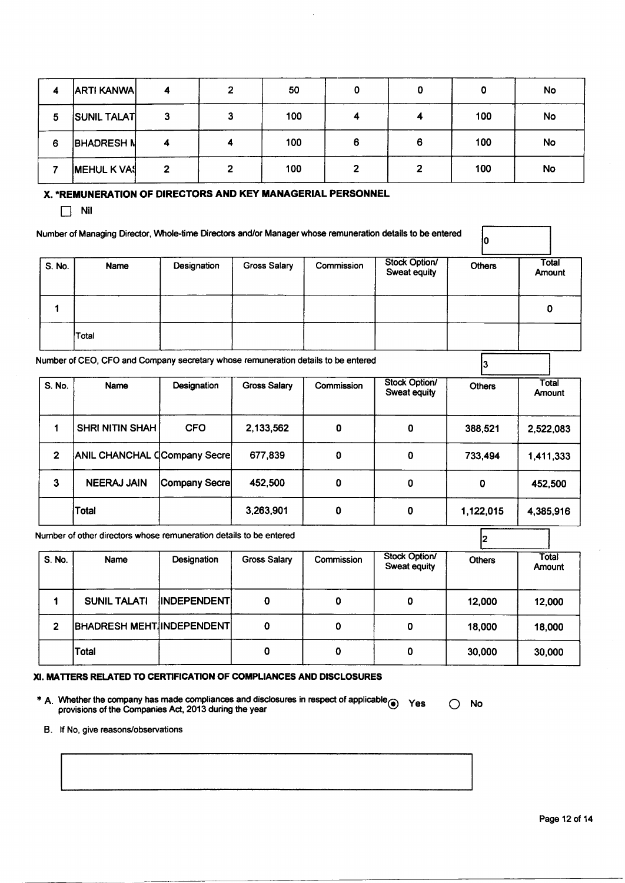| 4 | <b>ARTI KANWA</b>  |   | 2 | 50  |   | 0 |     | No        |
|---|--------------------|---|---|-----|---|---|-----|-----------|
| 5 | <b>SUNIL TALAT</b> |   |   | 100 |   |   | 100 | No        |
| 6 | <b>BHADRESH N</b>  |   |   | 100 | 6 | 6 | 100 | <b>No</b> |
|   | MEHUL K VAS        | ົ |   | 100 | ∍ | ∍ | 100 | No        |

#### X. \*REMUNERATION OF DIRECTORS AND KEY MANAGERIAL PERSONNEL

 $\Box$  Nil

|        | Number of Managing Director, Whole-time Directors and/or Manager whose remuneration details to be entered |             |                     |            |                               |               |                 |
|--------|-----------------------------------------------------------------------------------------------------------|-------------|---------------------|------------|-------------------------------|---------------|-----------------|
| S. No. | <b>Name</b>                                                                                               | Designation | <b>Gross Salary</b> | Commission | Stock Option/<br>Sweat equity | <b>Others</b> | Total<br>Amount |
|        |                                                                                                           |             |                     |            |                               |               | O               |
|        | Total                                                                                                     |             |                     |            |                               |               |                 |

Number of CEO, CFO and Company secretary whose remuneration details to be entered

| S. No.       | Name                         | Designation   | <b>Gross Salary</b> | Commission | Stock Option/<br>Sweat equity | <b>Others</b> | <b>Total</b><br><b>Amount</b> |
|--------------|------------------------------|---------------|---------------------|------------|-------------------------------|---------------|-------------------------------|
|              | <b>SHRI NITIN SHAH</b>       | <b>CFO</b>    | 2,133,562           | 0          | 0                             | 388,521       | 2,522,083                     |
| $\mathbf{2}$ | ANIL CHANCHAL CCompany Secre |               | 677,839             | 0          | 0                             | 733,494       | 1,411,333                     |
| 3            | <b>NEERAJ JAIN</b>           | Company Secre | 452,500             | 0          | 0                             | 0             | 452,500                       |
|              | Total                        |               | 3,263,901           | 0          | 0                             | 1,122,015     | 4,385,916                     |

Number of other direclors whose remuneration details to be entered

2 S. No. Name Designation Gross Salary Commission Stock Option/ Sweat equity Others Total Amount 1 SUNILTALATI INDEPENDENT 0 0 0 0 0 12,000 12,000 2 BHADRESH MEHT. INDEPENDENT 0 0 0 0 0 18,000 18,000 Total | | 0 | 0 | 0 | 30,000 | 30,000

#### XI. MATTERS RELATED TO CERTIFICATION OF COMPLIANCES AND DISCLOSURES

- \* A. \Mrether the company has made cornpliances and disclosures in respecl of applicableg provisions of the Companies Act, 2013 during the year Yes O No
- B. If No, give reasons/observations

 $\vert$ <sub>3</sub>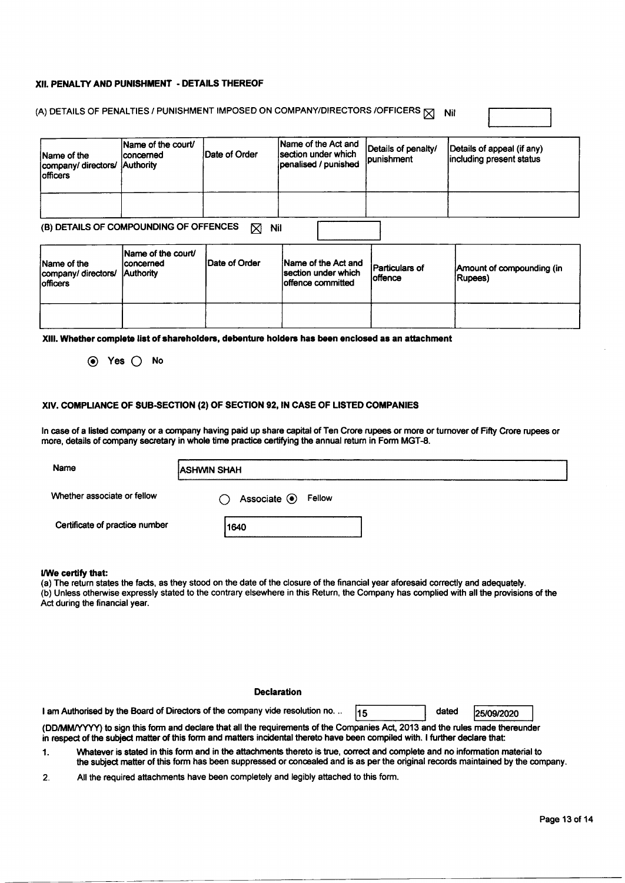#### XII. PENALTY AND PUNISHMENT - DETAILS THEREOF

#### (A) DETAILS OF PENALTIES / PUNISHMENT IMPOSED ON COMPANY/DIRECTORS /OFFICERS  $|\overline{\chi}|$  Nit

| <b>Name of the</b><br>company/directors/<br>lofficers | Name of the court/<br>concerned<br>Authority        | Date of Order        | Name of the Act and<br>Isection under which<br>penalised / punished | Details of penalty/<br>punishment | Details of appeal (if any)<br>including present status |
|-------------------------------------------------------|-----------------------------------------------------|----------------------|---------------------------------------------------------------------|-----------------------------------|--------------------------------------------------------|
|                                                       | (B) DETAILS OF COMPOUNDING OF OFFENCES              | Nil<br>⊠             |                                                                     |                                   |                                                        |
| Name of the<br>company/directors/<br>lofficers        | Name of the court/<br>concerned<br><b>Authority</b> | <b>Date of Order</b> | Name of the Act and<br>Isection under which<br>loffence committed   | <b>Particulars of</b><br>loffence | Amount of compounding (in<br>(Rupees)                  |
|                                                       |                                                     |                      |                                                                     |                                   |                                                        |

XIII. Whether complete list of shareholders, debenture holders has been enclosed as an attachment

O YesQ No

#### XIV. COMPLIANCE OF SUB-SECTION (2) OF SECTION 92, IN CASE OF LISTED COMPANIES

ln case of a listed oompany or a company having paid up share capital of Ten Crore rupees or more or turnover of Fifty Crore rupees or more, details of company secretary in whole time praclice certifying the annual retum in Form MGT-8.

| Name                           | <b>ASHWIN SHAH</b>            |  |  |  |
|--------------------------------|-------------------------------|--|--|--|
| Whether associate or fellow    | Associate <sup>O</sup> Fellow |  |  |  |
| Certificate of practice number | 1640                          |  |  |  |

#### l/We certify that:

(a) The return states the facts, as they stood on the date of the closure of the financial year aforesaid correc{ly and adequately. (b) Unless otherwise expressly stated to the contrary elsewhere in this Return, the Company has complied with all the provisions of the Act during the financial year.

#### Declaration

I am Authorised by the Board of Directors of the company vide resolution no.  $\frac{15}{15}$  dated  $\frac{25/09/2020}{25/09/2020}$ 

(DD/MM/YYYY) to sign this form and declare that all the requirements of the Companies Act, 2013 and the rules made thereunder in respect of the subjed matter of this form and matters incidental thereto have been compiled with. I further declare that:

- 1. Whatever is stated in this form and in the attachrnents thereto is true, coneci and complete and no information material to the subject matter of this form has been suppressed or concealed and is as per the original records maintained by the company.
- 2. All the required attachments have been completely and legibly attached to this form.